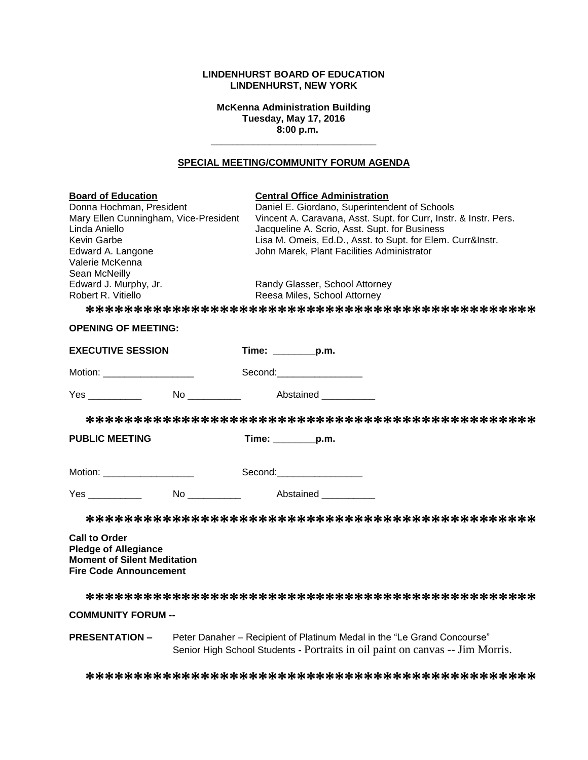## **LINDENHURST BOARD OF EDUCATION LINDENHURST, NEW YORK**

**McKenna Administration Building Tuesday, May 17, 2016 8:00 p.m.**

**\_\_\_\_\_\_\_\_\_\_\_\_\_\_\_\_\_\_\_\_\_\_\_\_\_\_\_\_\_\_\_**

## **SPECIAL MEETING/COMMUNITY FORUM AGENDA**

| <b>Board of Education</b><br>Donna Hochman, President<br>Mary Ellen Cunningham, Vice-President<br>Linda Aniello<br>Kevin Garbe<br>Edward A. Langone<br>Valerie McKenna<br>Sean McNeilly<br>Edward J. Murphy, Jr.<br>Robert R. Vitiello | <b>Central Office Administration</b><br>Daniel E. Giordano, Superintendent of Schools<br>Vincent A. Caravana, Asst. Supt. for Curr, Instr. & Instr. Pers.<br>Jacqueline A. Scrio, Asst. Supt. for Business<br>Lisa M. Omeis, Ed.D., Asst. to Supt. for Elem. Curr&Instr.<br>John Marek, Plant Facilities Administrator<br>Randy Glasser, School Attorney<br>Reesa Miles, School Attorney |
|----------------------------------------------------------------------------------------------------------------------------------------------------------------------------------------------------------------------------------------|------------------------------------------------------------------------------------------------------------------------------------------------------------------------------------------------------------------------------------------------------------------------------------------------------------------------------------------------------------------------------------------|
| <b>OPENING OF MEETING:</b>                                                                                                                                                                                                             |                                                                                                                                                                                                                                                                                                                                                                                          |
| <b>EXECUTIVE SESSION</b>                                                                                                                                                                                                               | Time: $\_\_$ p.m.                                                                                                                                                                                                                                                                                                                                                                        |
| Motion: ___________________                                                                                                                                                                                                            | Second: Second:                                                                                                                                                                                                                                                                                                                                                                          |
| Yes _________                                                                                                                                                                                                                          | No Abstained No.                                                                                                                                                                                                                                                                                                                                                                         |
|                                                                                                                                                                                                                                        |                                                                                                                                                                                                                                                                                                                                                                                          |
| <b>PUBLIC MEETING</b>                                                                                                                                                                                                                  | $Time:$ p.m.                                                                                                                                                                                                                                                                                                                                                                             |
| Motion: ______________________                                                                                                                                                                                                         | Second:___________________                                                                                                                                                                                                                                                                                                                                                               |
|                                                                                                                                                                                                                                        |                                                                                                                                                                                                                                                                                                                                                                                          |
|                                                                                                                                                                                                                                        |                                                                                                                                                                                                                                                                                                                                                                                          |
| <b>Call to Order</b><br><b>Pledge of Allegiance</b><br><b>Moment of Silent Meditation</b><br><b>Fire Code Announcement</b>                                                                                                             |                                                                                                                                                                                                                                                                                                                                                                                          |
|                                                                                                                                                                                                                                        |                                                                                                                                                                                                                                                                                                                                                                                          |
| <b>COMMUNITY FORUM --</b>                                                                                                                                                                                                              |                                                                                                                                                                                                                                                                                                                                                                                          |

**PRESENTATION –** Peter Danaher – Recipient of Platinum Medal in the "Le Grand Concourse" Senior High School Students **-** Portraits in oil paint on canvas -- Jim Morris.

**\*\*\*\*\*\*\*\*\*\*\*\*\*\*\*\*\*\*\*\*\*\*\*\*\*\*\*\*\*\*\*\*\*\*\*\*\*\*\*\*\*\*\*\*\*\*\***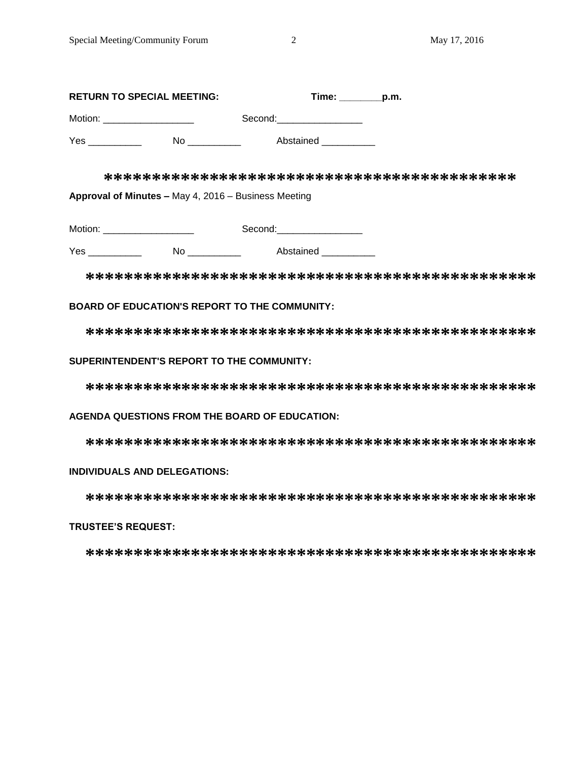| <b>RETURN TO SPECIAL MEETING:</b> |    | Time:<br>p.m. |  |  |
|-----------------------------------|----|---------------|--|--|
| Motion:                           |    | Second:       |  |  |
| Yes                               | No | Abstained     |  |  |

**\*\*\*\*\*\*\*\*\*\*\*\*\*\*\*\*\*\*\*\*\*\*\*\*\*\*\*\*\*\*\*\*\*\*\*\*\*\*\*\*\*\*\***

**Approval of Minutes –** May 4, 2016 – Business Meeting

| Motion: | Second: |  |
|---------|---------|--|
|         |         |  |

Yes \_\_\_\_\_\_\_\_\_\_\_\_\_ No \_\_\_\_\_\_\_\_\_\_\_ Abstained \_\_\_\_\_\_\_\_\_\_\_

**\*\*\*\*\*\*\*\*\*\*\*\*\*\*\*\*\*\*\*\*\*\*\*\*\*\*\*\*\*\*\*\*\*\*\*\*\*\*\*\*\*\*\*\*\*\*\***

# **BOARD OF EDUCATION'S REPORT TO THE COMMUNITY:**

**\*\*\*\*\*\*\*\*\*\*\*\*\*\*\*\*\*\*\*\*\*\*\*\*\*\*\*\*\*\*\*\*\*\*\*\*\*\*\*\*\*\*\*\*\*\*\***

# **SUPERINTENDENT'S REPORT TO THE COMMUNITY:**

**\*\*\*\*\*\*\*\*\*\*\*\*\*\*\*\*\*\*\*\*\*\*\*\*\*\*\*\*\*\*\*\*\*\*\*\*\*\*\*\*\*\*\*\*\*\*\***

# **AGENDA QUESTIONS FROM THE BOARD OF EDUCATION:**

**\*\*\*\*\*\*\*\*\*\*\*\*\*\*\*\*\*\*\*\*\*\*\*\*\*\*\*\*\*\*\*\*\*\*\*\*\*\*\*\*\*\*\*\*\*\*\***

# **INDIVIDUALS AND DELEGATIONS:**

**\*\*\*\*\*\*\*\*\*\*\*\*\*\*\*\*\*\*\*\*\*\*\*\*\*\*\*\*\*\*\*\*\*\*\*\*\*\*\*\*\*\*\*\*\*\*\***

# **TRUSTEE'S REQUEST:**

**\*\*\*\*\*\*\*\*\*\*\*\*\*\*\*\*\*\*\*\*\*\*\*\*\*\*\*\*\*\*\*\*\*\*\*\*\*\*\*\*\*\*\*\*\*\*\***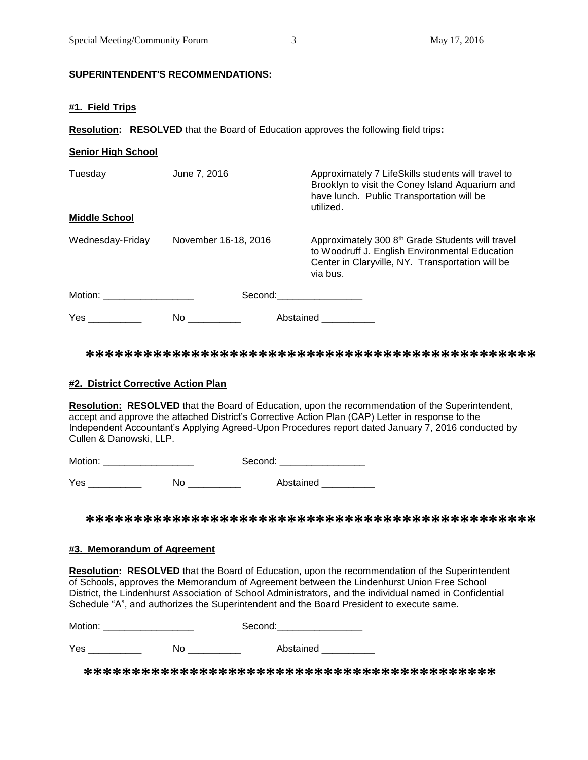# **SUPERINTENDENT'S RECOMMENDATIONS:**

#### **#1. Field Trips**

**Resolution: RESOLVED** that the Board of Education approves the following field trips**:**

| <b>Senior High School</b>       |                      |                                                                                                                                                                                                                                |
|---------------------------------|----------------------|--------------------------------------------------------------------------------------------------------------------------------------------------------------------------------------------------------------------------------|
| Tuesday<br><b>Middle School</b> | June 7, 2016         | Approximately 7 LifeSkills students will travel to<br>Brooklyn to visit the Coney Island Aquarium and<br>have lunch. Public Transportation will be<br>utilized.                                                                |
|                                 |                      |                                                                                                                                                                                                                                |
| Wednesday-Friday                | November 16-18, 2016 | Approximately 300 8 <sup>th</sup> Grade Students will travel<br>to Woodruff J. English Environmental Education<br>Center in Claryville, NY. Transportation will be<br>via bus.                                                 |
| Motion: 2008                    |                      | Second: the contract of the contract of the contract of the contract of the contract of the contract of the contract of the contract of the contract of the contract of the contract of the contract of the contract of the co |
| Yes                             | No.                  | Abstained                                                                                                                                                                                                                      |

**\*\*\*\*\*\*\*\*\*\*\*\*\*\*\*\*\*\*\*\*\*\*\*\*\*\*\*\*\*\*\*\*\*\*\*\*\*\*\*\*\*\*\*\*\*\*\***

#### **#2. District Corrective Action Plan**

**Resolution: RESOLVED** that the Board of Education, upon the recommendation of the Superintendent, accept and approve the attached District's Corrective Action Plan (CAP) Letter in response to the Independent Accountant's Applying Agreed-Upon Procedures report dated January 7, 2016 conducted by Cullen & Danowski, LLP.

| Motion: | -Second: - |
|---------|------------|
|         |            |

Yes \_\_\_\_\_\_\_\_\_\_ No \_\_\_\_\_\_\_\_\_\_ Abstained \_\_\_\_\_\_\_\_\_\_

**\*\*\*\*\*\*\*\*\*\*\*\*\*\*\*\*\*\*\*\*\*\*\*\*\*\*\*\*\*\*\*\*\*\*\*\*\*\*\*\*\*\*\*\*\*\*\***

#### **#3. Memorandum of Agreement**

**Resolution: RESOLVED** that the Board of Education, upon the recommendation of the Superintendent of Schools, approves the Memorandum of Agreement between the Lindenhurst Union Free School District, the Lindenhurst Association of School Administrators, and the individual named in Confidential Schedule "A", and authorizes the Superintendent and the Board President to execute same.

| Motion: |    | Second:   |  |
|---------|----|-----------|--|
| Yes     | Nο | Abstained |  |

 **\*\*\*\*\*\*\*\*\*\*\*\*\*\*\*\*\*\*\*\*\*\*\*\*\*\*\*\*\*\*\*\*\*\*\*\*\*\*\*\*\*\*\***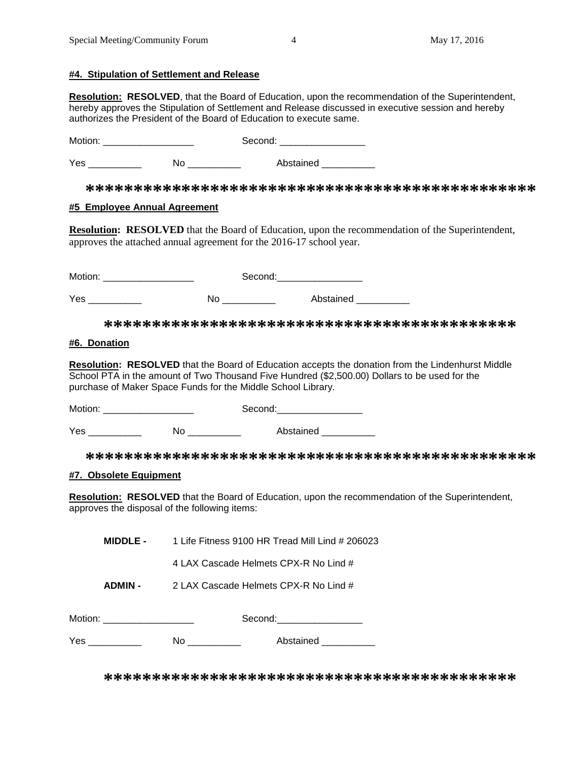## **#4. Stipulation of Settlement and Release**

**Resolution: RESOLVED**, that the Board of Education, upon the recommendation of the Superintendent, hereby approves the Stipulation of Settlement and Release discussed in executive session and hereby authorizes the President of the Board of Education to execute same.

Motion: \_\_\_\_\_\_\_\_\_\_\_\_\_\_\_\_\_ Second: \_\_\_\_\_\_\_\_\_\_\_\_\_\_\_\_

Yes \_\_\_\_\_\_\_\_\_\_\_\_ No \_\_\_\_\_\_\_\_\_\_ Abstained \_\_\_\_\_\_\_\_\_

**\*\*\*\*\*\*\*\*\*\*\*\*\*\*\*\*\*\*\*\*\*\*\*\*\*\*\*\*\*\*\*\*\*\*\*\*\*\*\*\*\*\*\*\*\*\*\***

# **#5 Employee Annual Agreement**

**Resolution: RESOLVED** that the Board of Education, upon the recommendation of the Superintendent, approves the attached annual agreement for the 2016-17 school year.

| Motion: ______________________                                                                                                                                                                                                      |                                                              | Second:___________________                                                                                                                                                                         |
|-------------------------------------------------------------------------------------------------------------------------------------------------------------------------------------------------------------------------------------|--------------------------------------------------------------|----------------------------------------------------------------------------------------------------------------------------------------------------------------------------------------------------|
| <b>Yes</b> and the set of the set of the set of the set of the set of the set of the set of the set of the set of the set of the set of the set of the set of the set of the set of the set of the set of the set of the set of the |                                                              | No ____________ Abstained _________                                                                                                                                                                |
|                                                                                                                                                                                                                                     |                                                              |                                                                                                                                                                                                    |
| #6. Donation                                                                                                                                                                                                                        |                                                              |                                                                                                                                                                                                    |
|                                                                                                                                                                                                                                     | purchase of Maker Space Funds for the Middle School Library. | Resolution: RESOLVED that the Board of Education accepts the donation from the Lindenhurst Middle<br>School PTA in the amount of Two Thousand Five Hundred (\$2,500.00) Dollars to be used for the |
|                                                                                                                                                                                                                                     |                                                              |                                                                                                                                                                                                    |
|                                                                                                                                                                                                                                     |                                                              | Yes ______________   No _____________   Abstained ___________                                                                                                                                      |
|                                                                                                                                                                                                                                     |                                                              |                                                                                                                                                                                                    |
| #7. Obsolete Equipment                                                                                                                                                                                                              |                                                              |                                                                                                                                                                                                    |
|                                                                                                                                                                                                                                     | approves the disposal of the following items:                | Resolution: RESOLVED that the Board of Education, upon the recommendation of the Superintendent,                                                                                                   |
| <b>MIDDLE -</b>                                                                                                                                                                                                                     |                                                              | 1 Life Fitness 9100 HR Tread Mill Lind # 206023                                                                                                                                                    |
|                                                                                                                                                                                                                                     | 4 LAX Cascade Helmets CPX-R No Lind #                        |                                                                                                                                                                                                    |
| <b>ADMIN-</b>                                                                                                                                                                                                                       | 2 LAX Cascade Helmets CPX-R No Lind #                        |                                                                                                                                                                                                    |
| Motion: _______________________                                                                                                                                                                                                     |                                                              | Second:_________________                                                                                                                                                                           |
| Yes ___________                                                                                                                                                                                                                     |                                                              |                                                                                                                                                                                                    |
|                                                                                                                                                                                                                                     |                                                              |                                                                                                                                                                                                    |

**\*\*\*\*\*\*\*\*\*\*\*\*\*\*\*\*\*\*\*\*\*\*\*\*\*\*\*\*\*\*\*\*\*\*\*\*\*\*\*\*\*\*\***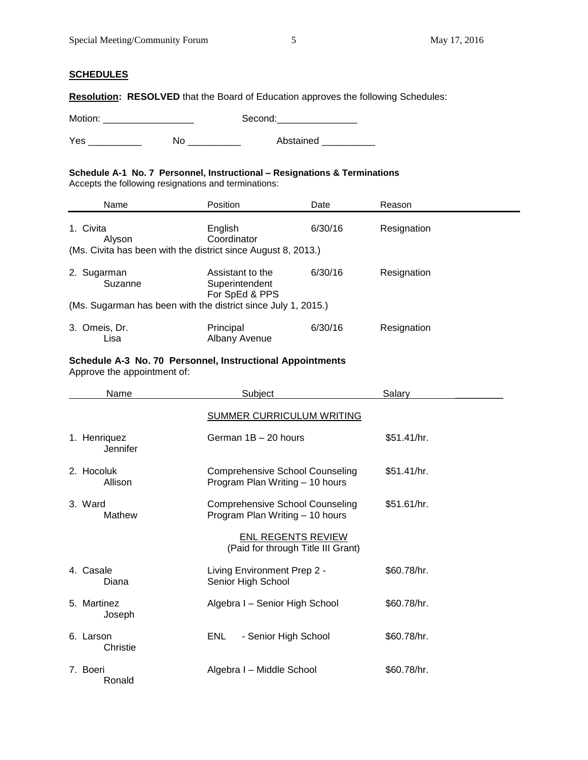### **SCHEDULES**

**Resolution: RESOLVED** that the Board of Education approves the following Schedules:

Motion: \_\_\_\_\_\_\_\_\_\_\_\_\_\_\_\_\_ Second:\_\_\_\_\_\_\_\_\_\_\_\_\_\_\_

Yes \_\_\_\_\_\_\_\_\_\_\_\_ No \_\_\_\_\_\_\_\_\_\_ Abstained \_\_\_\_\_\_\_\_\_

#### **Schedule A-1 No. 7 Personnel, Instructional – Resignations & Terminations**  Accepts the following resignations and terminations:

| Name                   | Position                                                      | Date    | Reason      |  |
|------------------------|---------------------------------------------------------------|---------|-------------|--|
| 1. Civita<br>Alyson    | English<br>Coordinator                                        | 6/30/16 | Resignation |  |
|                        | (Ms. Civita has been with the district since August 8, 2013.) |         |             |  |
| 2. Sugarman<br>Suzanne | Assistant to the<br>Superintendent<br>For SpEd & PPS          | 6/30/16 | Resignation |  |
|                        | (Ms. Sugarman has been with the district since July 1, 2015.) |         |             |  |
| 3. Omeis, Dr.<br>Lisa  | Principal<br>Albany Avenue                                    | 6/30/16 | Resignation |  |

#### **Schedule A-3 No. 70 Personnel, Instructional Appointments**

Approve the appointment of:

| Name                     | Subject                                                                   | Salary      |
|--------------------------|---------------------------------------------------------------------------|-------------|
|                          | <b>SUMMER CURRICULUM WRITING</b>                                          |             |
| 1. Henriquez<br>Jennifer | German 1B - 20 hours                                                      | \$51.41/hr. |
| 2. Hocoluk<br>Allison    | Comprehensive School Counseling<br>Program Plan Writing - 10 hours        | \$51.41/hr. |
| 3. Ward<br>Mathew        | <b>Comprehensive School Counseling</b><br>Program Plan Writing - 10 hours | \$51.61/hr. |
|                          | <b>ENL REGENTS REVIEW</b><br>(Paid for through Title III Grant)           |             |
| 4. Casale<br>Diana       | Living Environment Prep 2 -<br>Senior High School                         | \$60.78/hr. |
| 5. Martinez<br>Joseph    | Algebra I - Senior High School                                            | \$60.78/hr. |
| 6. Larson<br>Christie    | ENL.<br>- Senior High School                                              | \$60.78/hr. |
| 7. Boeri<br>Ronald       | Algebra I - Middle School                                                 | \$60.78/hr. |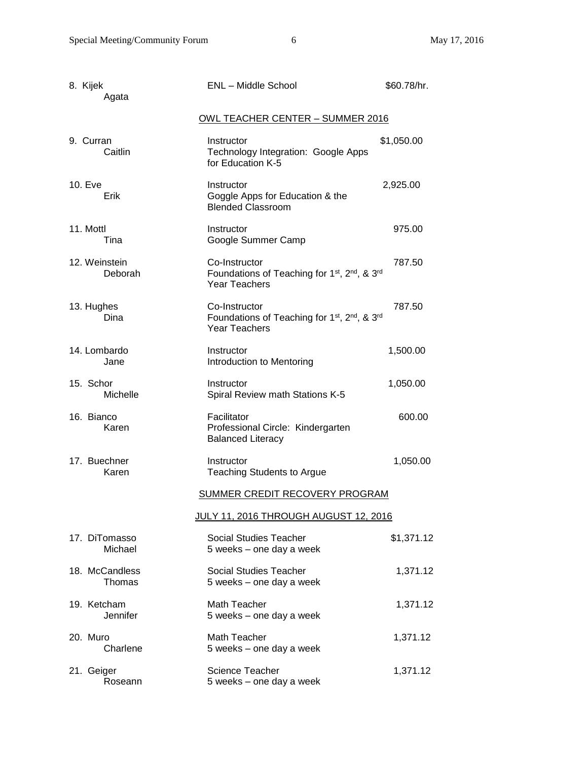| 8. Kijek<br>Agata        | <b>ENL</b> - Middle School                                                                                                 | \$60.78/hr. |
|--------------------------|----------------------------------------------------------------------------------------------------------------------------|-------------|
|                          | <u> OWL TEACHER CENTER – SUMMER 2016</u>                                                                                   |             |
| 9. Curran<br>Caitlin     | Instructor<br>Technology Integration: Google Apps<br>for Education K-5                                                     | \$1,050.00  |
| 10. Eve<br>Erik          | Instructor<br>Goggle Apps for Education & the<br><b>Blended Classroom</b>                                                  | 2,925.00    |
| 11. Mottl<br>Tina        | Instructor<br>Google Summer Camp                                                                                           | 975.00      |
| 12. Weinstein<br>Deborah | Co-Instructor<br>Foundations of Teaching for 1 <sup>st</sup> , 2 <sup>nd</sup> , & 3 <sup>rd</sup><br><b>Year Teachers</b> | 787.50      |
| 13. Hughes<br>Dina       | Co-Instructor<br>Foundations of Teaching for 1 <sup>st</sup> , 2 <sup>nd</sup> , & 3 <sup>rd</sup><br><b>Year Teachers</b> | 787.50      |
| 14. Lombardo<br>Jane     | Instructor<br>Introduction to Mentoring                                                                                    | 1,500.00    |
| 15. Schor<br>Michelle    | Instructor<br>Spiral Review math Stations K-5                                                                              | 1,050.00    |
| 16. Bianco<br>Karen      | Facilitator<br>Professional Circle: Kindergarten<br><b>Balanced Literacy</b>                                               | 600.00      |
| 17. Buechner<br>Karen    | Instructor<br><b>Teaching Students to Argue</b>                                                                            | 1,050.00    |
|                          | <b>SUMMER CREDIT RECOVERY PROGRAM</b>                                                                                      |             |
|                          | JULY 11, 2016 THROUGH AUGUST 12, 2016                                                                                      |             |
| 17. DiTomasso<br>Michael | Social Studies Teacher<br>5 weeks - one day a week                                                                         | \$1,371.12  |
| 18. McCandless<br>Thomas | Social Studies Teacher<br>5 weeks - one day a week                                                                         | 1,371.12    |
| 19. Ketcham<br>Jennifer  | <b>Math Teacher</b><br>5 weeks - one day a week                                                                            | 1,371.12    |
| 20. Muro<br>Charlene     | <b>Math Teacher</b><br>5 weeks - one day a week                                                                            | 1,371.12    |
| 21. Geiger<br>Roseann    | <b>Science Teacher</b><br>5 weeks - one day a week                                                                         | 1,371.12    |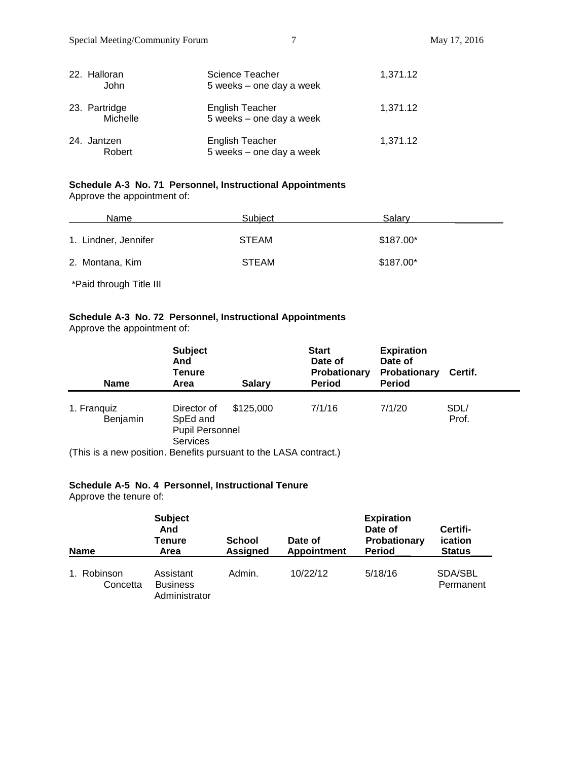| 22. Halloran<br>John      | Science Teacher<br>5 weeks - one day a week        | 1,371.12 |
|---------------------------|----------------------------------------------------|----------|
| 23. Partridge<br>Michelle | English Teacher<br>5 weeks - one day a week        | 1,371.12 |
| 24. Jantzen<br>Robert     | <b>English Teacher</b><br>5 weeks - one day a week | 1,371.12 |

# **Schedule A-3 No. 71 Personnel, Instructional Appointments**

Approve the appointment of:

| Name                 | Subject      | Salary    |  |
|----------------------|--------------|-----------|--|
| 1. Lindner, Jennifer | <b>STEAM</b> | \$187.00* |  |
| 2. Montana, Kim      | <b>STEAM</b> | \$187.00* |  |

\*Paid through Title III

# **Schedule A-3 No. 72 Personnel, Instructional Appointments**

| Approve the appointment of: |  |
|-----------------------------|--|
|-----------------------------|--|

| <b>Name</b>                                                       | <b>Subject</b><br>And<br><b>Tenure</b><br>Area                | <b>Salary</b> | <b>Start</b><br>Date of<br>Probationary<br><b>Period</b> | <b>Expiration</b><br>Date of<br>Probationary<br><b>Period</b> | Certif.       |
|-------------------------------------------------------------------|---------------------------------------------------------------|---------------|----------------------------------------------------------|---------------------------------------------------------------|---------------|
| 1. Franquiz<br>Benjamin                                           | Director of<br>SpEd and<br><b>Pupil Personnel</b><br>Services | \$125,000     | 7/1/16                                                   | 7/1/20                                                        | SDL/<br>Prof. |
| (This is a new position. Benefits pursuant to the LASA contract.) |                                                               |               |                                                          |                                                               |               |

# **Schedule A-5 No. 4 Personnel, Instructional Tenure**

Approve the tenure of:

| <b>Name</b>             | <b>Subject</b><br>And<br><b>Tenure</b><br>Area | School<br><b>Assigned</b> | Date of<br><b>Appointment</b> | <b>Expiration</b><br>Date of<br>Probationary<br><b>Period</b> | Certifi-<br>ication<br><b>Status</b> |
|-------------------------|------------------------------------------------|---------------------------|-------------------------------|---------------------------------------------------------------|--------------------------------------|
| 1. Robinson<br>Concetta | Assistant<br><b>Business</b><br>Administrator  | Admin.                    | 10/22/12                      | 5/18/16                                                       | SDA/SBL<br>Permanent                 |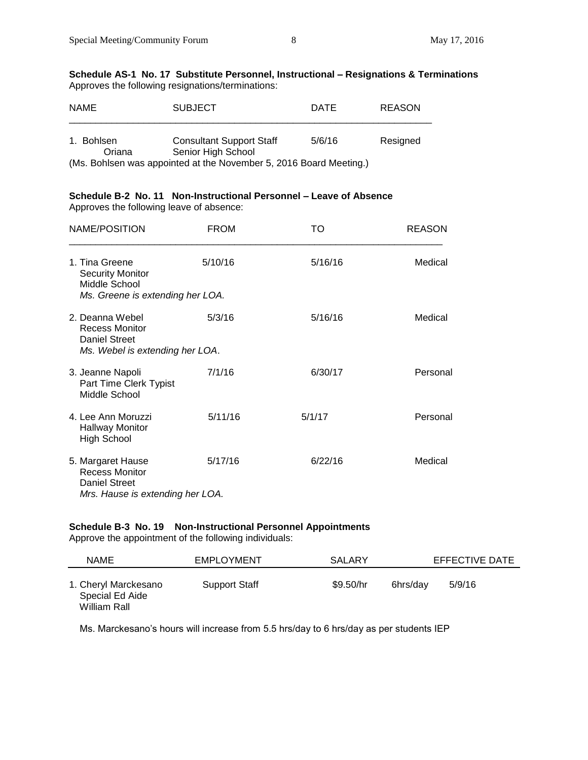#### **Schedule AS-1 No. 17 Substitute Personnel, Instructional – Resignations & Terminations** Approves the following resignations/terminations:

| <b>NAME</b>          | <b>SUBJECT</b>                                                     | <b>DATE</b> | <b>REASON</b> |
|----------------------|--------------------------------------------------------------------|-------------|---------------|
| 1. Bohlsen<br>Oriana | <b>Consultant Support Staff</b><br>Senior High School              | 5/6/16      | Resigned      |
|                      | (Ms. Bohlsen was appointed at the November 5, 2016 Board Meeting.) |             |               |

# **Schedule B-2 No. 11 Non-Instructional Personnel – Leave of Absence**

Approves the following leave of absence:

| NAME/POSITION                                                                                          | <b>FROM</b> | то      | <b>REASON</b> |
|--------------------------------------------------------------------------------------------------------|-------------|---------|---------------|
| 1. Tina Greene<br><b>Security Monitor</b><br>Middle School                                             | 5/10/16     | 5/16/16 | Medical       |
| Ms. Greene is extending her LOA.                                                                       |             |         |               |
| 2. Deanna Webel<br><b>Recess Monitor</b><br><b>Daniel Street</b>                                       | 5/3/16      | 5/16/16 | Medical       |
| Ms. Webel is extending her LOA.                                                                        |             |         |               |
| 3. Jeanne Napoli<br>Part Time Clerk Typist<br>Middle School                                            | 7/1/16      | 6/30/17 | Personal      |
| 4. Lee Ann Moruzzi<br><b>Hallway Monitor</b><br><b>High School</b>                                     | 5/11/16     | 5/1/17  | Personal      |
| 5. Margaret Hause<br><b>Recess Monitor</b><br><b>Daniel Street</b><br>Mrs. Hause is extending her LOA. | 5/17/16     | 6/22/16 | Medical       |

# **Schedule B-3 No. 19 Non-Instructional Personnel Appointments**

Approve the appointment of the following individuals:

| <b>NAME</b>                                             | <b>EMPLOYMENT</b>    | SALARY    |          | EFFECTIVE DATE |  |
|---------------------------------------------------------|----------------------|-----------|----------|----------------|--|
| 1. Cheryl Marckesano<br>Special Ed Aide<br>William Rall | <b>Support Staff</b> | \$9.50/hr | 6hrs/dav | 5/9/16         |  |

Ms. Marckesano's hours will increase from 5.5 hrs/day to 6 hrs/day as per students IEP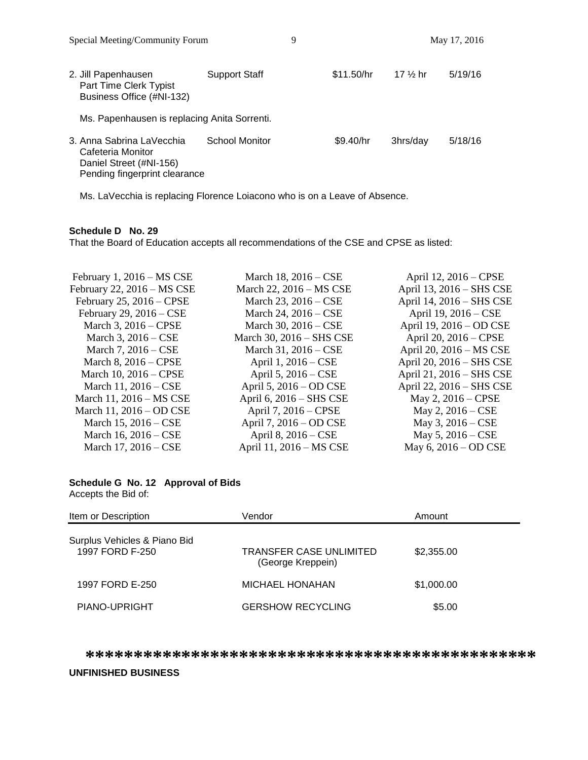| $\beta$                                                                                                    |                       |            |                     | 111471742010 |
|------------------------------------------------------------------------------------------------------------|-----------------------|------------|---------------------|--------------|
| 2. Jill Papenhausen<br>Part Time Clerk Typist<br>Business Office (#NI-132)                                 | Support Staff         | \$11.50/hr | 17 $\frac{1}{2}$ hr | 5/19/16      |
| Ms. Papenhausen is replacing Anita Sorrenti.                                                               |                       |            |                     |              |
| 3. Anna Sabrina LaVecchia<br>Cafeteria Monitor<br>Daniel Street (#NI-156)<br>Pending fingerprint clearance | <b>School Monitor</b> | \$9.40/hr  | 3hrs/day            | 5/18/16      |

Ms. LaVecchia is replacing Florence Loiacono who is on a Leave of Absence.

#### **Schedule D No. 29**

That the Board of Education accepts all recommendations of the CSE and CPSE as listed:

| February 1, 2016 - MS CSE     | March 18, 2016 – CSE     | April 12, 2016 – CPSE    |
|-------------------------------|--------------------------|--------------------------|
| February 22, 2016 - MS CSE    | March 22, 2016 – MS CSE  | April 13, 2016 - SHS CSE |
| February $25$ , $2016$ – CPSE | March 23, 2016 – CSE     | April 14, 2016 - SHS CSE |
| February 29, $2016 - CSE$     | March 24, 2016 – CSE     | April 19, 2016 – CSE     |
| March 3, 2016 – CPSE          | March 30, 2016 – CSE     | April 19, 2016 – OD CSE  |
| March 3, 2016 – CSE           | March 30, 2016 - SHS CSE | April 20, 2016 – CPSE    |
| March 7, $2016 - CSE$         | March 31, 2016 – CSE     | April 20, 2016 - MS CSE  |
| March $8, 2016 - CPSE$        | April 1, 2016 – CSE      | April 20, 2016 - SHS CSE |
| March 10, 2016 – CPSE         | April 5, $2016 - CSE$    | April 21, 2016 – SHS CSE |
| March 11, 2016 – CSE          | April 5, 2016 – OD CSE   | April 22, 2016 – SHS CSE |
| March 11, 2016 – MS CSE       | April 6, 2016 - SHS CSE  | May 2, 2016 – CPSE       |
| March 11, 2016 – OD CSE       | April 7, 2016 – CPSE     | May 2, $2016 - CSE$      |
| March 15, 2016 – CSE          | April 7, 2016 – OD CSE   | May 3, $2016 - CSE$      |
| March 16, 2016 – CSE          | April 8, 2016 – CSE      | May $5, 2016 - CSE$      |
| March 17, 2016 – CSE          | April 11, 2016 - MS CSE  | May 6, 2016 – OD CSE     |
|                               |                          |                          |

# **Schedule G No. 12 Approval of Bids**

Accepts the Bid of:

| Item or Description                             | Vendor                                              | Amount     |
|-------------------------------------------------|-----------------------------------------------------|------------|
| Surplus Vehicles & Piano Bid<br>1997 FORD F-250 | <b>TRANSFER CASE UNLIMITED</b><br>(George Kreppein) | \$2,355.00 |
| 1997 FORD E-250                                 | <b>MICHAEL HONAHAN</b>                              | \$1,000.00 |
| PIANO-UPRIGHT                                   | <b>GERSHOW RECYCLING</b>                            | \$5.00     |

**\*\*\*\*\*\*\*\*\*\*\*\*\*\*\*\*\*\*\*\*\*\*\*\*\*\*\*\*\*\*\*\*\*\*\*\*\*\*\*\*\*\*\*\*\*\*\***

#### **UNFINISHED BUSINESS**

Special Meeting/Community Forum 9 9 May 17, 2016